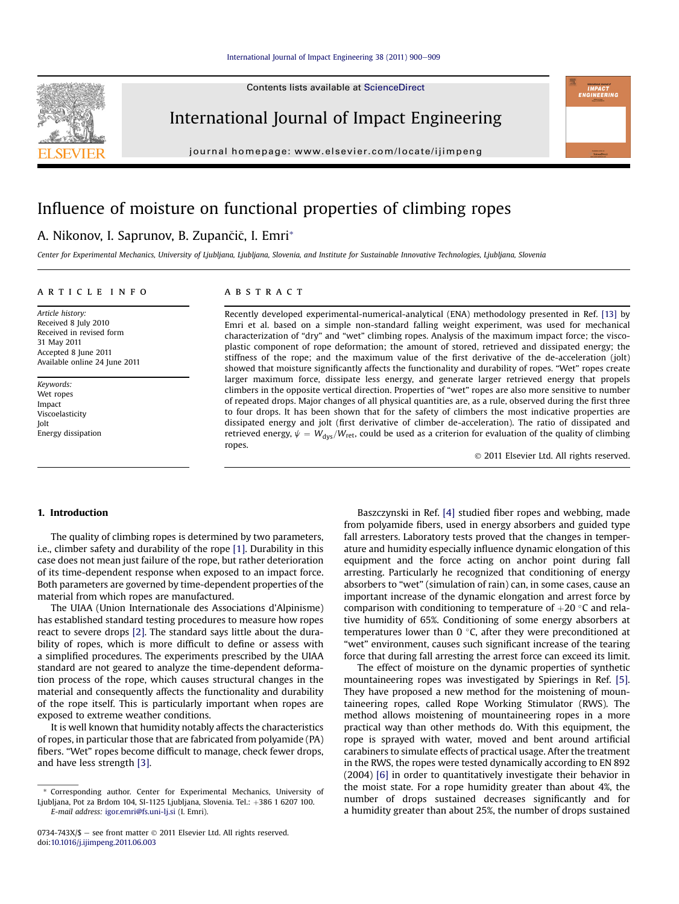Contents lists available at ScienceDirect



International Journal of Impact Engineering

journal homepage: [www.elsevier.com/locate/ijimpeng](http://www.elsevier.com/locate/ijimpeng)

# Influence of moisture on functional properties of climbing ropes

## A. Nikonov, I. Saprunov, B. Zupančič, I. Emri<sup>\*</sup>

Center for Experimental Mechanics, University of Ljubljana, Ljubljana, Slovenia, and Institute for Sustainable Innovative Technologies, Ljubljana, Slovenia

#### article info

Article history: Received 8 July 2010 Received in revised form 31 May 2011 Accepted 8 June 2011 Available online 24 June 2011

Keywords: Wet ropes Impact Viscoelasticity Jolt Energy dissipation

#### **ABSTRACT**

Recently developed experimental-numerical-analytical (ENA) methodology presented in Ref. [\[13\]](#page-9-0) by Emri et al. based on a simple non-standard falling weight experiment, was used for mechanical characterization of "dry" and "wet" climbing ropes. Analysis of the maximum impact force; the viscoplastic component of rope deformation; the amount of stored, retrieved and dissipated energy; the stiffness of the rope; and the maximum value of the first derivative of the de-acceleration (jolt) showed that moisture significantly affects the functionality and durability of ropes. "Wet" ropes create larger maximum force, dissipate less energy, and generate larger retrieved energy that propels climbers in the opposite vertical direction. Properties of "wet" ropes are also more sensitive to number of repeated drops. Major changes of all physical quantities are, as a rule, observed during the first three to four drops. It has been shown that for the safety of climbers the most indicative properties are dissipated energy and jolt (first derivative of climber de-acceleration). The ratio of dissipated and retrieved energy,  $\psi = W_{\text{dys}}/W_{\text{ret}}$ , could be used as a criterion for evaluation of the quality of climbing ropes.

2011 Elsevier Ltd. All rights reserved.

## 1. Introduction

The quality of climbing ropes is determined by two parameters, i.e., climber safety and durability of the rope [\[1\]](#page-9-0). Durability in this case does not mean just failure of the rope, but rather deterioration of its time-dependent response when exposed to an impact force. Both parameters are governed by time-dependent properties of the material from which ropes are manufactured.

The UIAA (Union Internationale des Associations d'Alpinisme) has established standard testing procedures to measure how ropes react to severe drops [\[2\].](#page-9-0) The standard says little about the durability of ropes, which is more difficult to define or assess with a simplified procedures. The experiments prescribed by the UIAA standard are not geared to analyze the time-dependent deformation process of the rope, which causes structural changes in the material and consequently affects the functionality and durability of the rope itself. This is particularly important when ropes are exposed to extreme weather conditions.

It is well known that humidity notably affects the characteristics of ropes, in particular those that are fabricated from polyamide (PA) fibers. "Wet" ropes become difficult to manage, check fewer drops, and have less strength [\[3\].](#page-9-0)

Baszczynski in Ref. [\[4\]](#page-9-0) studied fiber ropes and webbing, made from polyamide fibers, used in energy absorbers and guided type fall arresters. Laboratory tests proved that the changes in temperature and humidity especially influence dynamic elongation of this equipment and the force acting on anchor point during fall arresting. Particularly he recognized that conditioning of energy absorbers to "wet" (simulation of rain) can, in some cases, cause an important increase of the dynamic elongation and arrest force by comparison with conditioning to temperature of  $+20$  °C and rela-<br>tive bumidity of  $65\%$  Conditioning of some energy absorbers at tive humidity of 65%. Conditioning of some energy absorbers at temperatures lower than  $0^{\circ}$ C, after they were preconditioned at "wet" environment, causes such significant increase of the tearing force that during fall arresting the arrest force can exceed its limit.

The effect of moisture on the dynamic properties of synthetic mountaineering ropes was investigated by Spierings in Ref. [\[5\].](#page-9-0) They have proposed a new method for the moistening of mountaineering ropes, called Rope Working Stimulator (RWS). The method allows moistening of mountaineering ropes in a more practical way than other methods do. With this equipment, the rope is sprayed with water, moved and bent around artificial carabiners to simulate effects of practical usage. After the treatment in the RWS, the ropes were tested dynamically according to EN 892 (2004) [\[6\]](#page-9-0) in order to quantitatively investigate their behavior in the moist state. For a rope humidity greater than about 4%, the number of drops sustained decreases significantly and for a humidity greater than about 25%, the number of drops sustained

<sup>\*</sup> Corresponding author. Center for Experimental Mechanics, University of Ljubljana, Pot za Brdom 104, SI-1125 Ljubljana, Slovenia. Tel.:  $+386$  1 6207 100. E-mail address: [igor.emri@fs.uni-lj.si](mailto:igor.emri@fs.uni-lj.si) (I. Emri).

<sup>0734-743</sup>X/ $\$  - see front matter  $\odot$  2011 Elsevier Ltd. All rights reserved. doi:[10.1016/j.ijimpeng.2011.06.003](http://dx.doi.org/10.1016/j.ijimpeng.2011.06.003)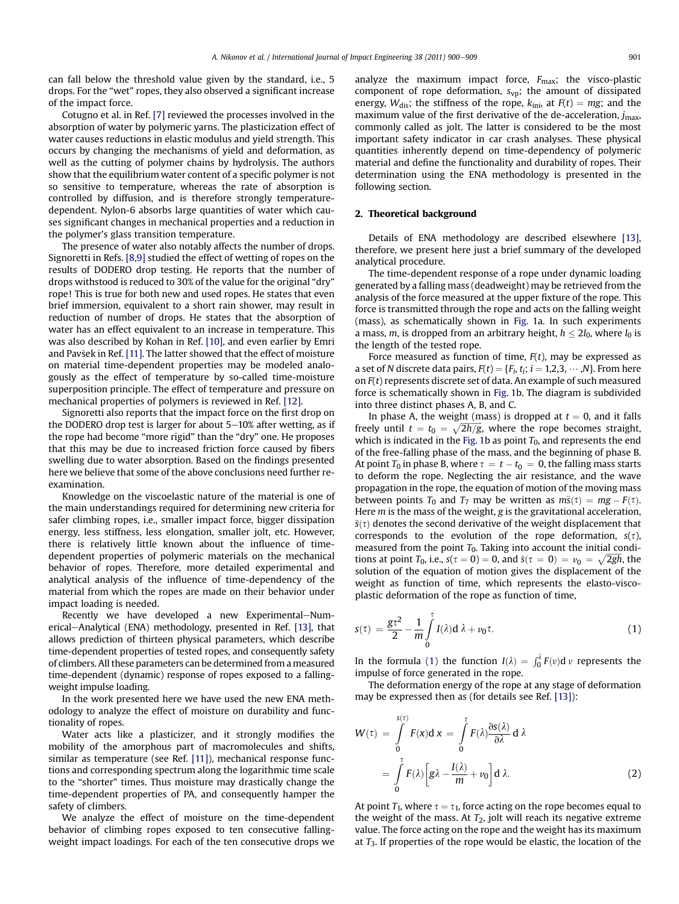<span id="page-1-0"></span>can fall below the threshold value given by the standard, i.e., 5 drops. For the "wet" ropes, they also observed a significant increase of the impact force.

Cotugno et al. in Ref. [\[7\]](#page-9-0) reviewed the processes involved in the absorption of water by polymeric yarns. The plasticization effect of water causes reductions in elastic modulus and yield strength. This occurs by changing the mechanisms of yield and deformation, as well as the cutting of polymer chains by hydrolysis. The authors show that the equilibrium water content of a specific polymer is not so sensitive to temperature, whereas the rate of absorption is controlled by diffusion, and is therefore strongly temperaturedependent. Nylon-6 absorbs large quantities of water which causes significant changes in mechanical properties and a reduction in the polymer's glass transition temperature.

The presence of water also notably affects the number of drops. Signoretti in Refs. [\[8,9\]](#page-9-0) studied the effect of wetting of ropes on the results of DODERO drop testing. He reports that the number of drops withstood is reduced to 30% of the value for the original "dry" rope! This is true for both new and used ropes. He states that even brief immersion, equivalent to a short rain shower, may result in reduction of number of drops. He states that the absorption of water has an effect equivalent to an increase in temperature. This was also described by Kohan in Ref. [\[10\]](#page-9-0), and even earlier by Emri and Pavšek in Ref. [\[11\].](#page-9-0) The latter showed that the effect of moisture on material time-dependent properties may be modeled analogously as the effect of temperature by so-called time-moisture superposition principle. The effect of temperature and pressure on mechanical properties of polymers is reviewed in Ref. [\[12\].](#page-9-0)

Signoretti also reports that the impact force on the first drop on the DODERO drop test is larger for about  $5-10\%$  after wetting, as if the rope had become "more rigid" than the "dry" one. He proposes that this may be due to increased friction force caused by fibers swelling due to water absorption. Based on the findings presented here we believe that some of the above conclusions need further reexamination.

Knowledge on the viscoelastic nature of the material is one of the main understandings required for determining new criteria for safer climbing ropes, i.e., smaller impact force, bigger dissipation energy, less stiffness, less elongation, smaller jolt, etc. However, there is relatively little known about the influence of timedependent properties of polymeric materials on the mechanical behavior of ropes. Therefore, more detailed experimental and analytical analysis of the influence of time-dependency of the material from which the ropes are made on their behavior under impact loading is needed.

Recently we have developed a new Experimental-Num-erical-Analytical (ENA) methodology, presented in Ref. [\[13\],](#page-9-0) that allows prediction of thirteen physical parameters, which describe time-dependent properties of tested ropes, and consequently safety of climbers. All these parameters can be determined from a measured time-dependent (dynamic) response of ropes exposed to a fallingweight impulse loading.

In the work presented here we have used the new ENA methodology to analyze the effect of moisture on durability and functionality of ropes.

Water acts like a plasticizer, and it strongly modifies the mobility of the amorphous part of macromolecules and shifts, similar as temperature (see Ref. [\[11\]\)](#page-9-0), mechanical response functions and corresponding spectrum along the logarithmic time scale to the "shorter" times. Thus moisture may drastically change the time-dependent properties of PA, and consequently hamper the safety of climbers.

We analyze the effect of moisture on the time-dependent behavior of climbing ropes exposed to ten consecutive fallingweight impact loadings. For each of the ten consecutive drops we analyze the maximum impact force,  $F_{\text{max}}$ ; the visco-plastic component of rope deformation,  $s_{vp}$ ; the amount of dissipated energy,  $W_{dis}$ ; the stiffness of the rope,  $k_{ini}$ , at  $F(t) = mg$ ; and the maximum value of the first derivative of the de-acceleration,  $j_{\text{max}}$ , commonly called as jolt. The latter is considered to be the most important safety indicator in car crash analyses. These physical quantities inherently depend on time-dependency of polymeric material and define the functionality and durability of ropes. Their determination using the ENA methodology is presented in the following section.

#### 2. Theoretical background

Details of ENA methodology are described elsewhere [\[13\],](#page-9-0) therefore, we present here just a brief summary of the developed analytical procedure.

The time-dependent response of a rope under dynamic loading generated by a falling mass (deadweight) may be retrieved from the analysis of the force measured at the upper fixture of the rope. This force is transmitted through the rope and acts on the falling weight (mass), as schematically shown in [Fig. 1a](#page-2-0). In such experiments a mass, m, is dropped from an arbitrary height,  $h \leq 2l_0$ , where  $l_0$  is the length of the tested rope.

Force measured as function of time,  $F(t)$ , may be expressed as a set of N discrete data pairs,  $F(t) = \{F_i, t_i; i = 1,2,3, \cdots, N\}$ . From here on  $F(t)$  represents discrete set of data. An example of such measured force is schematically shown in [Fig. 1b](#page-2-0). The diagram is subdivided into three distinct phases A, B, and C.

In phase A, the weight (mass) is dropped at  $t = 0$ , and it falls freely until  $t = t_0 = \sqrt{2h/g}$ , where the rope becomes straight,<br>which is indicated in the Fig. 1b as point  $T_2$ , and represents the end which is indicated in the [Fig. 1](#page-2-0)b as point  $T_0$ , and represents the end of the free-falling phase of the mass, and the beginning of phase B. At point  $T_0$  in phase B, where  $\tau = t - t_0 = 0$ , the falling mass starts to deform the rope. Neglecting the air resistance, and the wave propagation in the rope, the equation of motion of the moving mass between points  $T_0$  and  $T_7$  may be written as  $m\ddot{s}(\tau) = mg - F(\tau)$ . Here m is the mass of the weight, g is the gravitational acceleration,  $\ddot{s}(\tau)$  denotes the second derivative of the weight displacement that corresponds to the evolution of the rope deformation,  $s(\tau)$ , measured from the point  $T_0$ . Taking into account the initial conditions at point  $T_0$ , i.e.,  $s(\tau = 0) = 0$ , and  $\dot{s}(\tau = 0) = v_0 = \sqrt{2gh}$ , the solution of the equation of motion gives the displacement of the solution of the equation of motion gives the displacement of the weight as function of time, which represents the elasto-viscoplastic deformation of the rope as function of time,

$$
s(\tau) = \frac{gt^2}{2} - \frac{1}{m} \int_{0}^{\tau} I(\lambda) d\lambda + v_0 \tau.
$$
 (1)

In the formula (1) the function  $I(\lambda) = \int_0^{\lambda} F(v) dv$  represents the impulse of force generated in the rone impulse of force generated in the rope.

The deformation energy of the rope at any stage of deformation may be expressed then as (for details see Ref. [\[13\]](#page-9-0)):

$$
W(\tau) = \int_{0}^{s(\tau)} F(x) dx = \int_{0}^{\tau} F(\lambda) \frac{\partial s(\lambda)}{\partial \lambda} d\lambda
$$

$$
= \int_{0}^{\tau} F(\lambda) \left[ g\lambda - \frac{I(\lambda)}{m} + v_0 \right] d\lambda. \tag{2}
$$

At point  $T_1$ , where  $\tau = \tau_1$ , force acting on the rope becomes equal to the weight of the mass. At  $T_2$ , jolt will reach its negative extreme value. The force acting on the rope and the weight has its maximum at  $T_3$ . If properties of the rope would be elastic, the location of the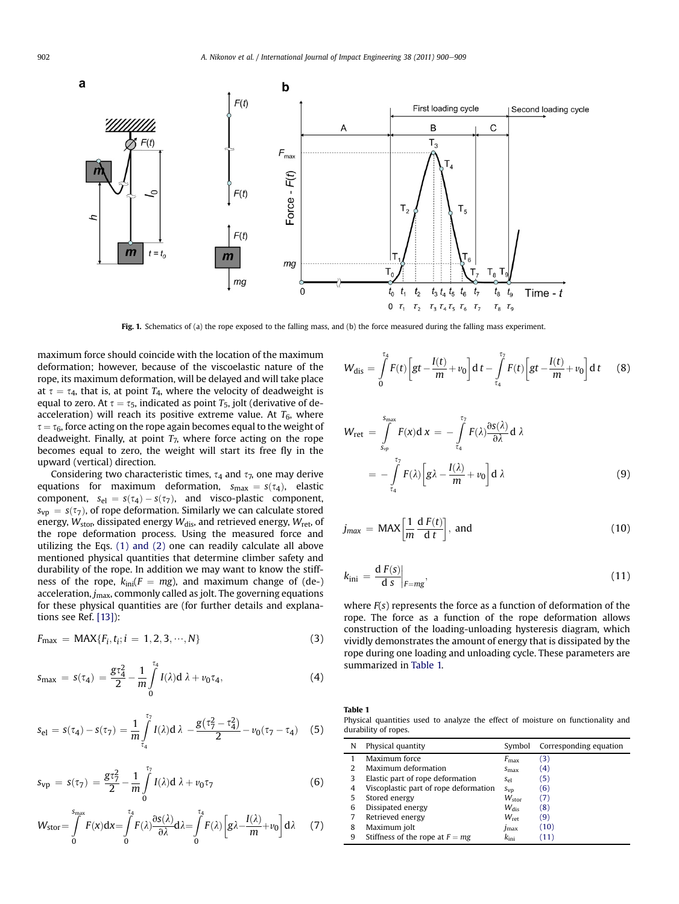<span id="page-2-0"></span>

Fig. 1. Schematics of (a) the rope exposed to the falling mass, and (b) the force measured during the falling mass experiment.

maximum force should coincide with the location of the maximum deformation; however, because of the viscoelastic nature of the rope, its maximum deformation, will be delayed and will take place at  $\tau = \tau_4$ , that is, at point  $T_4$ , where the velocity of deadweight is equal to zero. At  $\tau = \tau_5$ , indicated as point  $T_5$ , jolt (derivative of deacceleration) will reach its positive extreme value. At  $T_6$ , where  $\tau = \tau_6$ , force acting on the rope again becomes equal to the weight of deadweight. Finally, at point  $T_7$ , where force acting on the rope becomes equal to zero, the weight will start its free fly in the upward (vertical) direction.

Considering two characteristic times,  $\tau_4$  and  $\tau_7$ , one may derive equations for maximum deformation,  $s_{\text{max}} = s(\tau_4)$ , elastic component,  $s_{el} = s(\tau_4) - s(\tau_7)$ , and visco-plastic component,  $s_{vp} = s(\tau_7)$ , of rope deformation. Similarly we can calculate stored energy,  $W_{\text{stop}}$ , dissipated energy  $W_{\text{dis}}$ , and retrieved energy,  $W_{\text{ret}}$ , of the rope deformation process. Using the measured force and utilizing the Eqs. [\(1\) and \(2\)](#page-1-0) one can readily calculate all above mentioned physical quantities that determine climber safety and durability of the rope. In addition we may want to know the stiffness of the rope,  $k_{\text{ini}}(F = mg)$ , and maximum change of (de-) acceleration,  $j_{\text{max}}$ , commonly called as jolt. The governing equations for these physical quantities are (for further details and explanations see Ref. [\[13\]\)](#page-9-0):

$$
F_{\max} = \text{MAX}\{F_i, t_i; i = 1, 2, 3, \cdots, N\}
$$
\n(3)

$$
s_{\max} = s(\tau_4) = \frac{g\tau_4^2}{2} - \frac{1}{m} \int_0^{\tau_4} I(\lambda) d\lambda + v_0 \tau_4,
$$
 (4)

$$
s_{el} = s(\tau_4) - s(\tau_7) = \frac{1}{m} \int_{\tau_4}^{\tau_7} I(\lambda) d\lambda - \frac{g(\tau_7^2 - \tau_4^2)}{2} - \nu_0(\tau_7 - \tau_4)
$$
 (5)

$$
s_{vp} = s(\tau_7) = \frac{gt_7^2}{2} - \frac{1}{m} \int_{0}^{\tau_7} I(\lambda) d\lambda + v_0 \tau_7
$$
 (6)

$$
W_{\text{stor}} = \int_{0}^{S_{\text{max}}} F(x) dx = \int_{0}^{\tau_4} F(\lambda) \frac{\partial s(\lambda)}{\partial \lambda} d\lambda = \int_{0}^{\tau_4} F(\lambda) \left[ g \lambda - \frac{I(\lambda)}{m} + v_0 \right] d\lambda \tag{7}
$$

$$
W_{\text{dis}} = \int_{0}^{\tau_4} F(t) \left[ gt - \frac{I(t)}{m} + v_0 \right] dt - \int_{\tau_4}^{\tau_7} F(t) \left[ gt - \frac{I(t)}{m} + v_0 \right] dt \qquad (8)
$$

$$
W_{\text{ret}} = \int_{S_{\text{rep}}}^{S_{\text{max}}} F(x) \, \mathrm{d} \, x = -\int_{\tau_4}^{\tau_7} F(\lambda) \frac{\partial s(\lambda)}{\partial \lambda} \, \mathrm{d} \, \lambda
$$
\n
$$
= -\int_{\tau_4}^{\tau_7} F(\lambda) \left[ g \lambda - \frac{I(\lambda)}{m} + v_0 \right] \mathrm{d} \, \lambda \tag{9}
$$

$$
j_{max} = \text{MAX}\left[\frac{1}{m}\frac{dF(t)}{dt}\right], \text{ and} \qquad (10)
$$

$$
k_{\rm ini} = \frac{\mathrm{d}\, F(s)}{\mathrm{d}\, s}\bigg|_{F = mg},\tag{11}
$$

where  $F(s)$  represents the force as a function of deformation of the rope. The force as a function of the rope deformation allows construction of the loading-unloading hysteresis diagram, which vividly demonstrates the amount of energy that is dissipated by the rope during one loading and unloading cycle. These parameters are summarized in Table 1.

Table 1 Physical quantities used to analyze the effect of moisture on functionality and durability of ropes.

| N | Physical quantity                     | Symbol           | Corresponding equation |
|---|---------------------------------------|------------------|------------------------|
|   | Maximum force                         | $F_{\rm max}$    | (3)                    |
|   | Maximum deformation                   | $S_{\rm max}$    | (4)                    |
| 3 | Elastic part of rope deformation      | $S_{\rho}$       | (5)                    |
| 4 | Viscoplastic part of rope deformation | $S_{VD}$         | (6)                    |
| 5 | Stored energy                         | $W_{\rm stor}$   | (7)                    |
| 6 | Dissipated energy                     | $W_{\text{dis}}$ | (8)                    |
|   | Retrieved energy                      | $W_{\rm ret}$    | (9)                    |
| 8 | Maximum jolt                          | $J$ max          | (10)                   |
| 9 | Stiffness of the rope at $F = mg$     | $k_{\rm ini}$    | (11)                   |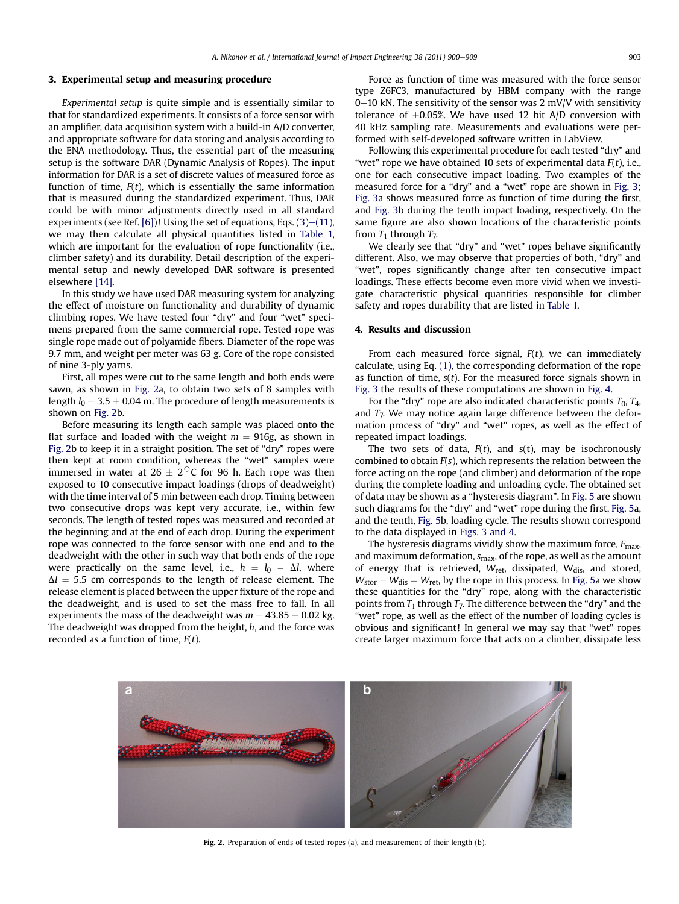#### 3. Experimental setup and measuring procedure

Experimental setup is quite simple and is essentially similar to that for standardized experiments. It consists of a force sensor with an amplifier, data acquisition system with a build-in A/D converter, and appropriate software for data storing and analysis according to the ENA methodology. Thus, the essential part of the measuring setup is the software DAR (Dynamic Analysis of Ropes). The input information for DAR is a set of discrete values of measured force as function of time,  $F(t)$ , which is essentially the same information that is measured during the standardized experiment. Thus, DAR could be with minor adjustments directly used in all standard experiments (see Ref. [\[6\]\)](#page-9-0)! Using the set of equations, Eqs.  $(3)$ – $(11)$ , we may then calculate all physical quantities listed in [Table 1,](#page-2-0) which are important for the evaluation of rope functionality (*i.e.*, climber safety) and its durability. Detail description of the experimental setup and newly developed DAR software is presented elsewhere [\[14\]](#page-9-0).

In this study we have used DAR measuring system for analyzing the effect of moisture on functionality and durability of dynamic climbing ropes. We have tested four "dry" and four "wet" specimens prepared from the same commercial rope. Tested rope was single rope made out of polyamide fibers. Diameter of the rope was 9.7 mm, and weight per meter was 63 g. Core of the rope consisted of nine 3-ply yarns.

First, all ropes were cut to the same length and both ends were sawn, as shown in Fig. 2a, to obtain two sets of 8 samples with length  $l_0 = 3.5 \pm 0.04$  m. The procedure of length measurements is shown on Fig. 2b.

Before measuring its length each sample was placed onto the flat surface and loaded with the weight  $m = 916g$ , as shown in Fig. 2b to keep it in a straight position. The set of "dry" ropes were then kept at room condition, whereas the "wet" samples were immersed in water at  $26 \pm 2\degree$ C for 96 h. Each rope was then exposed to 10 consecutive impact loadings (drops of deadweight) with the time interval of 5 min between each drop. Timing between two consecutive drops was kept very accurate, i.e., within few seconds. The length of tested ropes was measured and recorded at the beginning and at the end of each drop. During the experiment rope was connected to the force sensor with one end and to the deadweight with the other in such way that both ends of the rope were practically on the same level, i.e.,  $h = l_0 - \Delta l$ , where  $\Delta l = 5.5$  cm corresponds to the length of release element. The release element is placed between the upper fixture of the rope and the deadweight, and is used to set the mass free to fall. In all experiments the mass of the deadweight was  $m = 43.85 \pm 0.02$  kg. The deadweight was dropped from the height,  $h$ , and the force was recorded as a function of time,  $F(t)$ .

Force as function of time was measured with the force sensor type Z6FC3, manufactured by HBM company with the range  $0-10$  kN. The sensitivity of the sensor was 2 mV/V with sensitivity tolerance of  $\pm 0.05$ %. We have used 12 bit A/D conversion with 40 kHz sampling rate. Measurements and evaluations were performed with self-developed software written in LabView.

Following this experimental procedure for each tested "dry" and "wet" rope we have obtained 10 sets of experimental data  $F(t)$ , i.e., one for each consecutive impact loading. Two examples of the measured force for a "dry" and a "wet" rope are shown in [Fig. 3;](#page-4-0) [Fig. 3a](#page-4-0) shows measured force as function of time during the first, and [Fig. 3b](#page-4-0) during the tenth impact loading, respectively. On the same figure are also shown locations of the characteristic points from  $T_1$  through  $T_7$ .

We clearly see that "dry" and "wet" ropes behave significantly different. Also, we may observe that properties of both, "dry" and "wet", ropes significantly change after ten consecutive impact loadings. These effects become even more vivid when we investigate characteristic physical quantities responsible for climber safety and ropes durability that are listed in [Table 1.](#page-2-0)

#### 4. Results and discussion

From each measured force signal,  $F(t)$ , we can immediately calculate, using Eq. [\(1\)](#page-1-0), the corresponding deformation of the rope as function of time,  $s(t)$ . For the measured force signals shown in [Fig. 3](#page-4-0) the results of these computations are shown in [Fig. 4.](#page-4-0)

For the "dry" rope are also indicated characteristic points  $T_0$ ,  $T_4$ , and  $T_7$ . We may notice again large difference between the deformation process of "dry" and "wet" ropes, as well as the effect of repeated impact loadings.

The two sets of data,  $F(t)$ , and  $s(t)$ , may be isochronously combined to obtain  $F(s)$ , which represents the relation between the force acting on the rope (and climber) and deformation of the rope during the complete loading and unloading cycle. The obtained set of data may be shown as a "hysteresis diagram". In [Fig. 5](#page-5-0) are shown such diagrams for the "dry" and "wet" rope during the first, [Fig. 5](#page-5-0)a, and the tenth, [Fig. 5b](#page-5-0), loading cycle. The results shown correspond to the data displayed in [Figs. 3 and 4](#page-4-0).

The hysteresis diagrams vividly show the maximum force,  $F_{\text{max}}$ , and maximum deformation,  $s_{\text{max}}$ , of the rope, as well as the amount of energy that is retrieved,  $W_{\text{ret}}$ , dissipated,  $W_{\text{dis}}$ , and stored,  $W_{\text{stor}} = W_{\text{dis}} + W_{\text{ret}}$ , by the rope in this process. In [Fig. 5](#page-5-0)a we show these quantities for the "dry" rope, along with the characteristic points from  $T_1$  through  $T_7$ . The difference between the "dry" and the "wet" rope, as well as the effect of the number of loading cycles is obvious and significant! In general we may say that "wet" ropes create larger maximum force that acts on a climber, dissipate less



Fig. 2. Preparation of ends of tested ropes (a), and measurement of their length (b).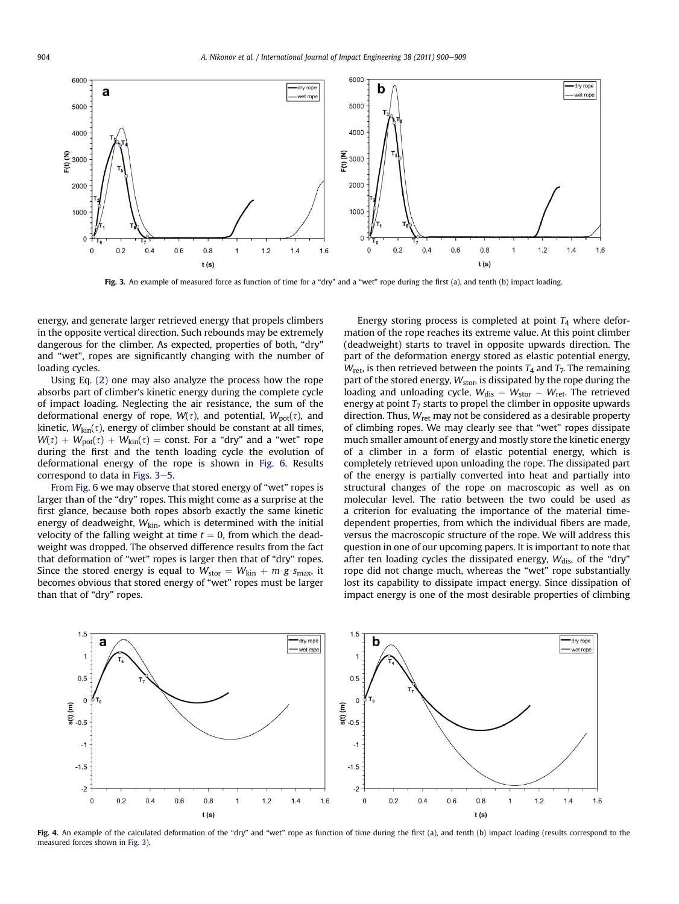<span id="page-4-0"></span>

Fig. 3. An example of measured force as function of time for a "dry" and a "wet" rope during the first (a), and tenth (b) impact loading.

energy, and generate larger retrieved energy that propels climbers in the opposite vertical direction. Such rebounds may be extremely dangerous for the climber. As expected, properties of both, "dry" and "wet", ropes are significantly changing with the number of loading cycles.

Using Eq. [\(2\)](#page-1-0) one may also analyze the process how the rope absorbs part of climber's kinetic energy during the complete cycle of impact loading. Neglecting the air resistance, the sum of the deformational energy of rope,  $W(\tau)$ , and potential,  $W_{pot}(\tau)$ , and kinetic,  $W_{kin}(\tau)$ , energy of climber should be constant at all times,  $W(\tau) + W_{pot}(\tau) + W_{kin}(\tau) = \text{const.}$  For a "dry" and a "wet" rope during the first and the tenth loading cycle the evolution of deformational energy of the rope is shown in [Fig. 6](#page-5-0). Results correspond to data in Figs.  $3-5$ .

From [Fig. 6](#page-5-0) we may observe that stored energy of "wet" ropes is larger than of the "dry" ropes. This might come as a surprise at the first glance, because both ropes absorb exactly the same kinetic energy of deadweight,  $W_{\text{kin}}$ , which is determined with the initial velocity of the falling weight at time  $t = 0$ , from which the deadweight was dropped. The observed difference results from the fact that deformation of "wet" ropes is larger then that of "dry" ropes. Since the stored energy is equal to  $W_{\text{stor}} = W_{\text{kin}} + m \cdot g \cdot s_{\text{max}}$ , it becomes obvious that stored energy of "wet" ropes must be larger than that of "dry" ropes.

Energy storing process is completed at point  $T_4$  where deformation of the rope reaches its extreme value. At this point climber (deadweight) starts to travel in opposite upwards direction. The part of the deformation energy stored as elastic potential energy,  $W_{\text{ret}}$ , is then retrieved between the points  $T_4$  and  $T_7$ . The remaining part of the stored energy,  $W_{\text{stor}}$ , is dissipated by the rope during the loading and unloading cycle,  $W_{dis} = W_{stor} - W_{ret}$ . The retrieved energy at point  $T_7$  starts to propel the climber in opposite upwards direction. Thus,  $W_{\text{ret}}$  may not be considered as a desirable property of climbing ropes. We may clearly see that "wet" ropes dissipate much smaller amount of energy and mostly store the kinetic energy of a climber in a form of elastic potential energy, which is completely retrieved upon unloading the rope. The dissipated part of the energy is partially converted into heat and partially into structural changes of the rope on macroscopic as well as on molecular level. The ratio between the two could be used as a criterion for evaluating the importance of the material timedependent properties, from which the individual fibers are made, versus the macroscopic structure of the rope. We will address this question in one of our upcoming papers. It is important to note that after ten loading cycles the dissipated energy,  $W_{\text{dis}}$ , of the "dry" rope did not change much, whereas the "wet" rope substantially lost its capability to dissipate impact energy. Since dissipation of impact energy is one of the most desirable properties of climbing



Fig. 4. An example of the calculated deformation of the "dry" and "wet" rope as function of time during the first (a), and tenth (b) impact loading (results correspond to the measured forces shown in Fig. 3).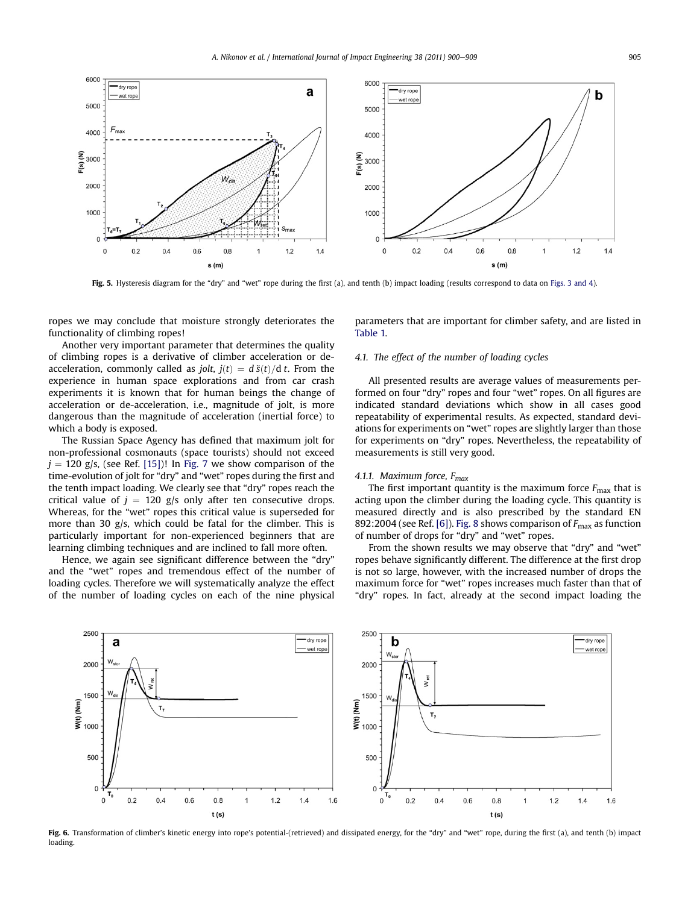<span id="page-5-0"></span>

Fig. 5. Hysteresis diagram for the "dry" and "wet" rope during the first (a), and tenth (b) impact loading (results correspond to data on [Figs. 3 and 4](#page-4-0)).

ropes we may conclude that moisture strongly deteriorates the functionality of climbing ropes!

Another very important parameter that determines the quality of climbing ropes is a derivative of climber acceleration or deacceleration, commonly called as *jolt*,  $j(t) = d \ddot{s}(t)/dt$ . From the experience in human space explorations and from car crash experiments it is known that for human beings the change of acceleration or de-acceleration, i.e., magnitude of jolt, is more dangerous than the magnitude of acceleration (inertial force) to which a body is exposed.

The Russian Space Agency has defined that maximum jolt for non-professional cosmonauts (space tourists) should not exceed  $j = 120$  g/s, (see Ref. [\[15\]\)](#page-9-0)! In [Fig. 7](#page-6-0) we show comparison of the time-evolution of jolt for "dry" and "wet" ropes during the first and the tenth impact loading. We clearly see that "dry" ropes reach the critical value of  $j = 120$  g/s only after ten consecutive drops. Whereas, for the "wet" ropes this critical value is superseded for more than 30 g/s, which could be fatal for the climber. This is particularly important for non-experienced beginners that are learning climbing techniques and are inclined to fall more often.

Hence, we again see significant difference between the "dry" and the "wet" ropes and tremendous effect of the number of loading cycles. Therefore we will systematically analyze the effect of the number of loading cycles on each of the nine physical

parameters that are important for climber safety, and are listed in [Table 1.](#page-2-0)

#### 4.1. The effect of the number of loading cycles

All presented results are average values of measurements performed on four "dry" ropes and four "wet" ropes. On all figures are indicated standard deviations which show in all cases good repeatability of experimental results. As expected, standard deviations for experiments on "wet" ropes are slightly larger than those for experiments on "dry" ropes. Nevertheless, the repeatability of measurements is still very good.

## 4.1.1. Maximum force,  $F_{max}$

The first important quantity is the maximum force  $F_{\text{max}}$  that is acting upon the climber during the loading cycle. This quantity is measured directly and is also prescribed by the standard EN 892:2004 (see Ref. [\[6\]](#page-9-0)). [Fig. 8](#page-6-0) shows comparison of  $F_{\text{max}}$  as function of number of drops for "dry" and "wet" ropes.

From the shown results we may observe that "dry" and "wet" ropes behave significantly different. The difference at the first drop is not so large, however, with the increased number of drops the maximum force for "wet" ropes increases much faster than that of "dry" ropes. In fact, already at the second impact loading the



Fig. 6. Transformation of climber's kinetic energy into rope's potential-(retrieved) and dissipated energy, for the "dry" and "wet" rope, during the first (a), and tenth (b) impact loading.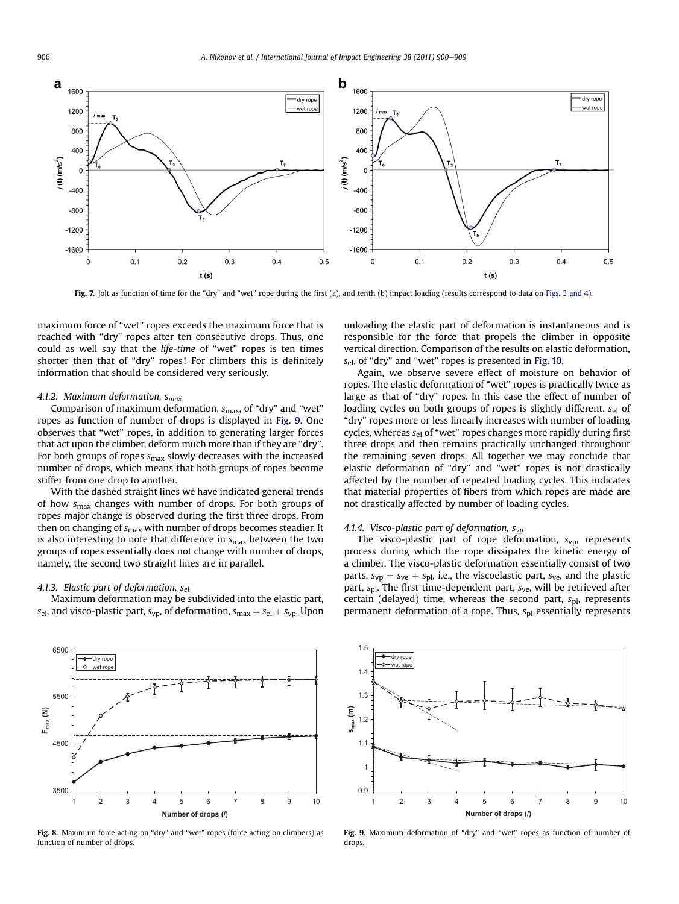<span id="page-6-0"></span>

Fig. 7. Jolt as function of time for the "dry" and "wet" rope during the first (a), and tenth (b) impact loading (results correspond to data on [Figs. 3 and 4](#page-4-0)).

maximum force of "wet" ropes exceeds the maximum force that is reached with "dry" ropes after ten consecutive drops. Thus, one could as well say that the life-time of "wet" ropes is ten times shorter then that of "dry" ropes! For climbers this is definitely information that should be considered very seriously.

#### 4.1.2. Maximum deformation,  $S_{max}$

Comparison of maximum deformation,  $s_{\text{max}}$ , of "dry" and "wet" ropes as function of number of drops is displayed in Fig. 9. One observes that "wet" ropes, in addition to generating larger forces that act upon the climber, deform much more than if they are "dry". For both groups of ropes  $s_{\text{max}}$  slowly decreases with the increased number of drops, which means that both groups of ropes become stiffer from one drop to another.

With the dashed straight lines we have indicated general trends of how  $s_{\text{max}}$  changes with number of drops. For both groups of ropes major change is observed during the first three drops. From then on changing of  $s_{\text{max}}$  with number of drops becomes steadier. It is also interesting to note that difference in  $s_{\text{max}}$  between the two groups of ropes essentially does not change with number of drops, namely, the second two straight lines are in parallel.

#### 4.1.3. Elastic part of deformation,  $s_{el}$

Maximum deformation may be subdivided into the elastic part,  $s_{\text{el}}$ , and visco-plastic part,  $s_{\text{vp}}$ , of deformation,  $s_{\text{max}} = s_{\text{el}} + s_{\text{vp}}$ . Upon



Fig. 8. Maximum force acting on "dry" and "wet" ropes (force acting on climbers) as function of number of drops.

unloading the elastic part of deformation is instantaneous and is responsible for the force that propels the climber in opposite vertical direction. Comparison of the results on elastic deformation,  $s_{el}$ , of "dry" and "wet" ropes is presented in [Fig. 10.](#page-7-0)

Again, we observe severe effect of moisture on behavior of ropes. The elastic deformation of "wet" ropes is practically twice as large as that of "dry" ropes. In this case the effect of number of loading cycles on both groups of ropes is slightly different. Sel of "dry" ropes more or less linearly increases with number of loading cycles, whereas  $s_{el}$  of "wet" ropes changes more rapidly during first three drops and then remains practically unchanged throughout the remaining seven drops. All together we may conclude that elastic deformation of "dry" and "wet" ropes is not drastically affected by the number of repeated loading cycles. This indicates that material properties of fibers from which ropes are made are not drastically affected by number of loading cycles.

## 4.1.4. Visco-plastic part of deformation,  $s_{vp}$

The visco-plastic part of rope deformation,  $s_{vp}$ , represents process during which the rope dissipates the kinetic energy of a climber. The visco-plastic deformation essentially consist of two parts,  $s_{vp} = s_{ve} + s_{pl}$ , i.e., the viscoelastic part,  $s_{ve}$ , and the plastic part,  $s_{\text{pl}}$ . The first time-dependent part,  $s_{\text{ve}}$ , will be retrieved after certain (delayed) time, whereas the second part,  $s<sub>pl</sub>$ , represents permanent deformation of a rope. Thus,  $s<sub>pl</sub>$  essentially represents



Fig. 9. Maximum deformation of "dry" and "wet" ropes as function of number of drops.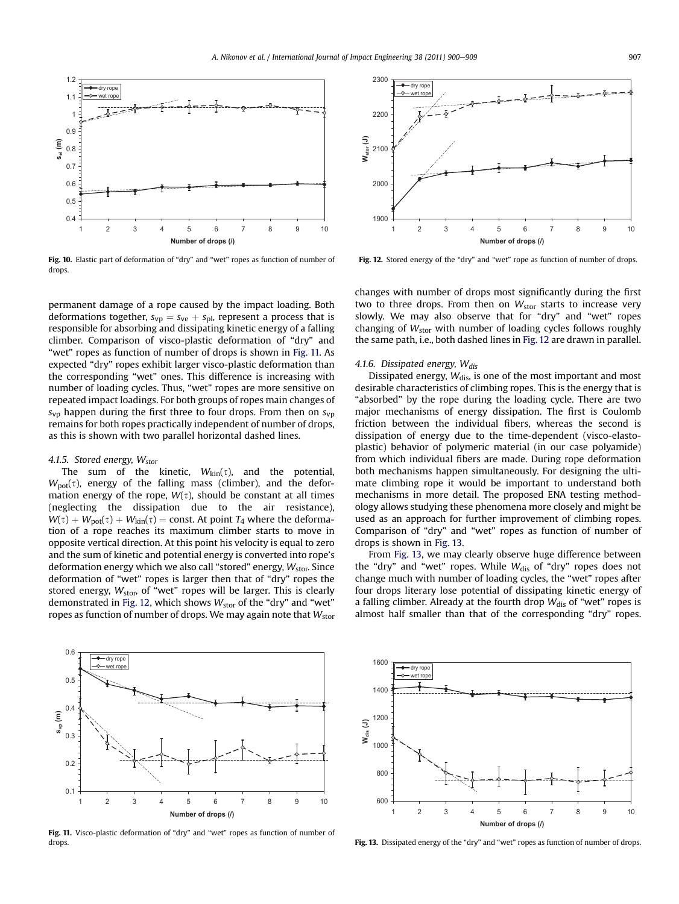<span id="page-7-0"></span>

Fig. 10. Elastic part of deformation of "dry" and "wet" ropes as function of number of drops.

permanent damage of a rope caused by the impact loading. Both deformations together,  $s_{vp} = s_{ve} + s_{pl}$ , represent a process that is responsible for absorbing and dissipating kinetic energy of a falling climber. Comparison of visco-plastic deformation of "dry" and "wet" ropes as function of number of drops is shown in Fig. 11. As expected "dry" ropes exhibit larger visco-plastic deformation than the corresponding "wet" ones. This difference is increasing with number of loading cycles. Thus, "wet" ropes are more sensitive on repeated impact loadings. For both groups of ropes main changes of  $s_{\rm vp}$  happen during the first three to four drops. From then on  $s_{\rm vp}$ remains for both ropes practically independent of number of drops, as this is shown with two parallel horizontal dashed lines.

## 4.1.5. Stored energy,  $W_{\text{stor}}$

The sum of the kinetic,  $W_{\text{kin}}(\tau)$ , and the potential,  $W_{\text{pot}}(\tau)$ , energy of the falling mass (climber), and the deformation energy of the rope,  $W(\tau)$ , should be constant at all times (neglecting the dissipation due to the air resistance),  $W(\tau) + W_{pot}(\tau) + W_{kin}(\tau) = \text{const.}$  At point  $T_4$  where the deformation of a rope reaches its maximum climber starts to move in opposite vertical direction. At this point his velocity is equal to zero and the sum of kinetic and potential energy is converted into rope's deformation energy which we also call "stored" energy,  $W_{\text{stor}}$ . Since deformation of "wet" ropes is larger then that of "dry" ropes the stored energy,  $W_{\text{stop}}$  of "wet" ropes will be larger. This is clearly demonstrated in Fig. 12, which shows  $W_{\text{stor}}$  of the "dry" and "wet" ropes as function of number of drops. We may again note that  $W_{\text{stop}}$ 



Fig. 12. Stored energy of the "dry" and "wet" rope as function of number of drops.

changes with number of drops most significantly during the first two to three drops. From then on  $W_{\text{stor}}$  starts to increase very slowly. We may also observe that for "dry" and "wet" ropes changing of  $W_{\text{stor}}$  with number of loading cycles follows roughly the same path, i.e., both dashed lines in Fig. 12 are drawn in parallel.

#### 4.1.6. Dissipated energy,  $W_{dis}$

Dissipated energy,  $W_{dis}$ , is one of the most important and most desirable characteristics of climbing ropes. This is the energy that is "absorbed" by the rope during the loading cycle. There are two major mechanisms of energy dissipation. The first is Coulomb friction between the individual fibers, whereas the second is dissipation of energy due to the time-dependent (visco-elastoplastic) behavior of polymeric material (in our case polyamide) from which individual fibers are made. During rope deformation both mechanisms happen simultaneously. For designing the ultimate climbing rope it would be important to understand both mechanisms in more detail. The proposed ENA testing methodology allows studying these phenomena more closely and might be used as an approach for further improvement of climbing ropes. Comparison of "dry" and "wet" ropes as function of number of drops is shown in Fig. 13.

From Fig. 13, we may clearly observe huge difference between the "dry" and "wet" ropes. While  $W_{dis}$  of "dry" ropes does not change much with number of loading cycles, the "wet" ropes after four drops literary lose potential of dissipating kinetic energy of a falling climber. Already at the fourth drop  $W_{dis}$  of "wet" ropes is almost half smaller than that of the corresponding "dry" ropes.



Fig. 11. Visco-plastic deformation of "dry" and "wet" ropes as function of number of drops.



Fig. 13. Dissipated energy of the "dry" and "wet" ropes as function of number of drops.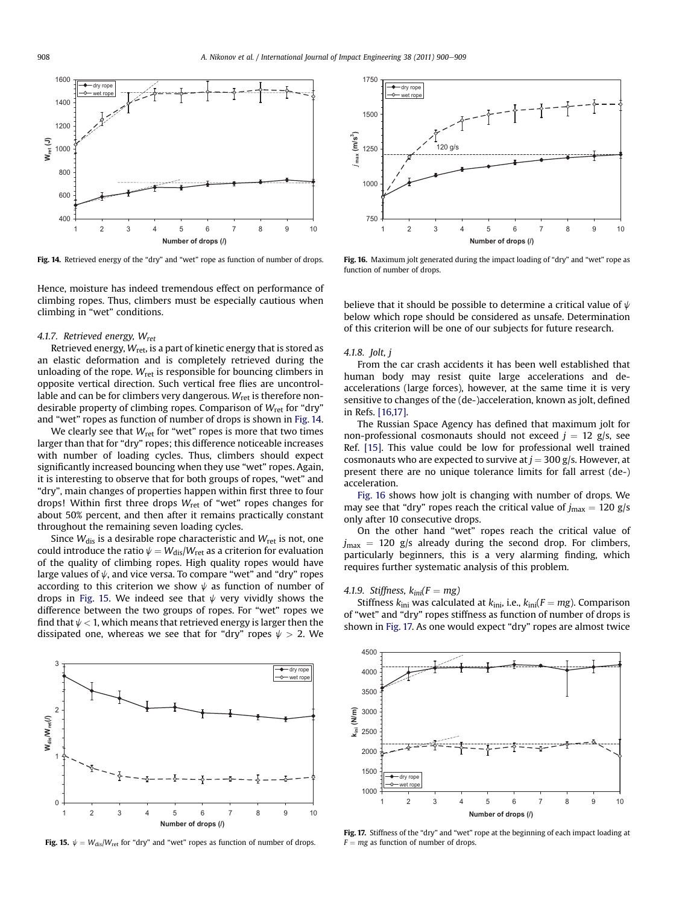

Fig. 14. Retrieved energy of the "dry" and "wet" rope as function of number of drops.

Hence, moisture has indeed tremendous effect on performance of climbing ropes. Thus, climbers must be especially cautious when climbing in "wet" conditions.

#### 4.1.7. Retrieved energy,  $W_{\text{ret}}$

Retrieved energy,  $W_{\text{ret}}$ , is a part of kinetic energy that is stored as an elastic deformation and is completely retrieved during the unloading of the rope.  $W_{\text{ret}}$  is responsible for bouncing climbers in opposite vertical direction. Such vertical free flies are uncontrollable and can be for climbers very dangerous.  $W_{\text{ret}}$  is therefore nondesirable property of climbing ropes. Comparison of  $W_{\text{ret}}$  for "dry" and "wet" ropes as function of number of drops is shown in Fig. 14.

We clearly see that  $W_{\text{ret}}$  for "wet" ropes is more that two times larger than that for "dry" ropes; this difference noticeable increases with number of loading cycles. Thus, climbers should expect significantly increased bouncing when they use "wet" ropes. Again, it is interesting to observe that for both groups of ropes, "wet" and "dry", main changes of properties happen within first three to four drops! Within first three drops  $W_{\text{ret}}$  of "wet" ropes changes for about 50% percent, and then after it remains practically constant throughout the remaining seven loading cycles.

Since  $W_{dis}$  is a desirable rope characteristic and  $W_{ret}$  is not, one could introduce the ratio  $\psi = W_{dis}/W_{ret}$  as a criterion for evaluation of the quality of climbing ropes. High quality ropes would have large values of  $\psi$ , and vice versa. To compare "wet" and "dry" ropes according to this criterion we show  $\psi$  as function of number of drops in Fig. 15. We indeed see that  $\psi$  very vividly shows the difference between the two groups of ropes. For "wet" ropes we find that  $\psi$  < 1, which means that retrieved energy is larger then the dissipated one, whereas we see that for "dry" ropes  $\psi > 2$ . We



Fig. 15.  $\psi = W_{dis}/W_{ret}$  for "dry" and "wet" ropes as function of number of drops.



Fig. 16. Maximum jolt generated during the impact loading of "dry" and "wet" rope as function of number of drops.

believe that it should be possible to determine a critical value of  $\psi$ below which rope should be considered as unsafe. Determination of this criterion will be one of our subjects for future research.

#### 4.1.8. Jolt, j

From the car crash accidents it has been well established that human body may resist quite large accelerations and deaccelerations (large forces), however, at the same time it is very sensitive to changes of the (de-)acceleration, known as jolt, defined in Refs. [\[16,17\]](#page-9-0).

The Russian Space Agency has defined that maximum jolt for non-professional cosmonauts should not exceed  $j = 12$  g/s, see Ref. [\[15\].](#page-9-0) This value could be low for professional well trained cosmonauts who are expected to survive at  $j = 300$  g/s. However, at present there are no unique tolerance limits for fall arrest (de-) acceleration.

Fig. 16 shows how jolt is changing with number of drops. We may see that "dry" ropes reach the critical value of  $j_{\text{max}} = 120 \text{ g/s}$ only after 10 consecutive drops.

On the other hand "wet" ropes reach the critical value of  $j_{\text{max}}$  = 120 g/s already during the second drop. For climbers, particularly beginners, this is a very alarming finding, which requires further systematic analysis of this problem.

#### 4.1.9. Stiffness,  $k_{ini}(F = mg)$

Stiffness  $k_{\text{ini}}$  was calculated at  $k_{\text{ini}}$ , i.e.,  $k_{\text{ini}}(F = mg)$ . Comparison of "wet" and "dry" ropes stiffness as function of number of drops is shown in Fig. 17. As one would expect "dry" ropes are almost twice



Fig. 17. Stiffness of the "dry" and "wet" rope at the beginning of each impact loading at  $F = mg$  as function of number of drops.